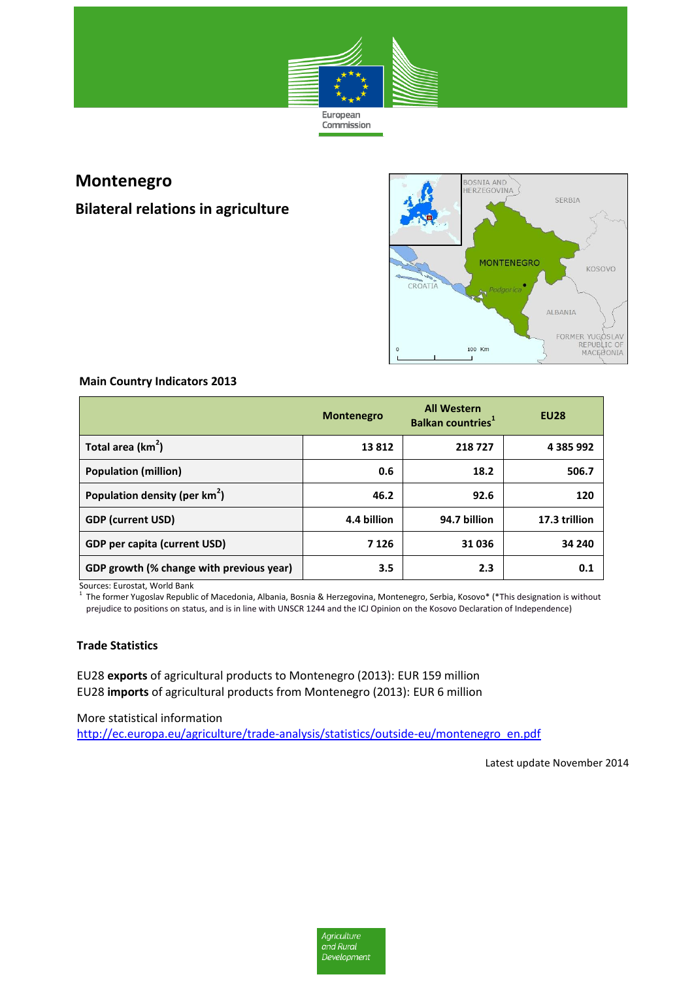

# **Montenegro**

**Bilateral relations in agriculture**



# **Main Country Indicators 2013**

|                                           | <b>Montenegro</b> | <b>All Western</b><br><b>Balkan countries</b> <sup>1</sup> | <b>EU28</b>   |
|-------------------------------------------|-------------------|------------------------------------------------------------|---------------|
| Total area (km <sup>2</sup> )             | 13812             | 218727                                                     | 4 385 992     |
| <b>Population (million)</b>               | 0.6               | 18.2                                                       | 506.7         |
| Population density (per km <sup>2</sup> ) | 46.2              | 92.6                                                       | 120           |
| <b>GDP (current USD)</b>                  | 4.4 billion       | 94.7 billion                                               | 17.3 trillion |
| <b>GDP per capita (current USD)</b>       | 7 1 2 6           | 31036                                                      | 34 240        |
| GDP growth (% change with previous year)  | 3.5               | 2.3                                                        | 0.1           |

Sources: Eurostat, World Bank<br><sup>1</sup> The fermer Yugoslav Banubli

The former Yugoslav Republic of Macedonia, Albania, Bosnia & Herzegovina, Montenegro, Serbia, Kosovo\* (\*This designation is without prejudice to positions on status, and is in line with UNSCR 1244 and the ICJ Opinion on the Kosovo Declaration of Independence)

# **Trade Statistics**

EU28 **exports** of agricultural products to Montenegro (2013): EUR 159 million EU28 **imports** of agricultural products from Montenegro (2013): EUR 6 million

More statistical information

[http://ec.europa.eu/agriculture/trade-analysis/statistics/outside-eu/montenegro\\_en.pdf](http://ec.europa.eu/agriculture/trade-analysis/statistics/outside-eu/montenegro_en.pdf)

Latest update November 2014